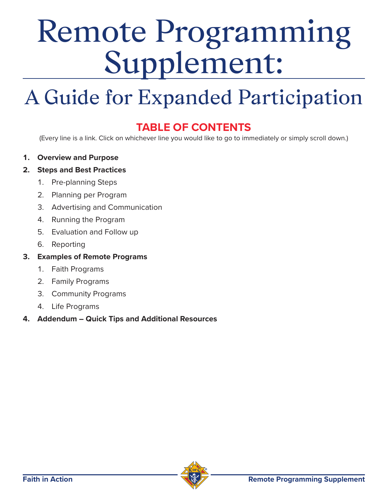# <span id="page-0-0"></span>Remote Programming Supplement:

## A Guide for Expanded Participation

### **TABLE OF CONTENTS**

(Every line is a link. Click on whichever line you would like to go to immediately or simply scroll down.)

**1. Overview and Purpose**

### **2. [Steps and Best Practices](#page-1-0)**

- 1. [Pre-planning Steps](#page-1-0)
- 2. [Planning per Program](#page-3-0)
- 3. [Advertising and Communication](#page-4-0)
- 4. [Running the Program](#page-4-0)
- 5. [Evaluation and Follow up](#page-5-0)
- 6. [Reporting](#page-5-0)
- **3. [Examples of Remote Programs](#page-6-0)**
	- 1. [Faith Programs](#page-6-0)
	- 2. [Family Programs](#page-8-0)
	- 3. [Community Programs](#page-10-0)
	- 4. [Life Programs](#page-12-0)

### **4. [Addendum – Quick Tips and Additional Resources](#page-13-0)**

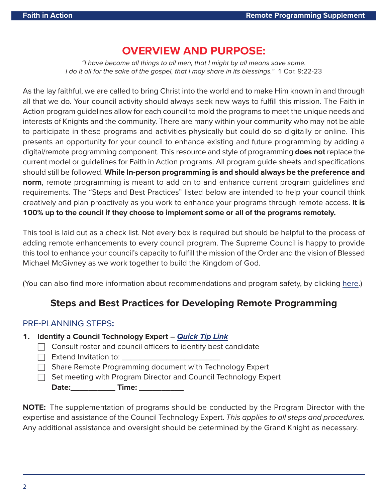### **[OVERVIEW AND PURPOSE:](#page-0-0)**

<span id="page-1-0"></span>"I have become all things to all men, that I might by all means save some. I do it all for the sake of the gospel, that I may share in its blessings." 1 Cor. 9:22-23

As the lay faithful, we are called to bring Christ into the world and to make Him known in and through all that we do. Your council activity should always seek new ways to fulfill this mission. The Faith in Action program guidelines allow for each council to mold the programs to meet the unique needs and interests of Knights and the community. There are many within your community who may not be able to participate in these programs and activities physically but could do so digitally or online. This presents an opportunity for your council to enhance existing and future programming by adding a digital/remote programming component. This resource and style of programming **does not** replace the current model or guidelines for Faith in Action programs. All program guide sheets and specifications should still be followed. **While In-person programming is and should always be the preference and norm**, remote programming is meant to add on to and enhance current program guidelines and requirements. The "Steps and Best Practices" listed below are intended to help your council think creatively and plan proactively as you work to enhance your programs through remote access. **It is 100% up to the council if they choose to implement some or all of the programs remotely.**

This tool is laid out as a check list. Not every box is required but should be helpful to the process of adding remote enhancements to every council program. The Supreme Council is happy to provide this tool to enhance your council's capacity to fulfill the mission of the Order and the vision of Blessed Michael McGivney as we work together to build the Kingdom of God.

(You can also find more information about recommendations and program safety, by clicking [here.](https://www.kofc.org/en/news-room/knightline/special-edition/week-of-march-23/fia-program-updates-covid19.html))

### **Steps and Best Practices for Developing Remote Programming**

### [PRE-PLANNING STEPS](#page-0-0)**:**

- **1. Identify a Council Technology Expert [Quick Tip Link](#page-14-0)**
	- $\Box$  Consult roster and council officers to identify best candidate
	- $\Box$  Extend Invitation to:  $\_$
	- $\Box$  Share Remote Programming document with Technology Expert
	- $\Box$  Set meeting with Program Director and Council Technology Expert **Date:** Time:

**NOTE:** The supplementation of programs should be conducted by the Program Director with the expertise and assistance of the Council Technology Expert. This applies to all steps and procedures. Any additional assistance and oversight should be determined by the Grand Knight as necessary.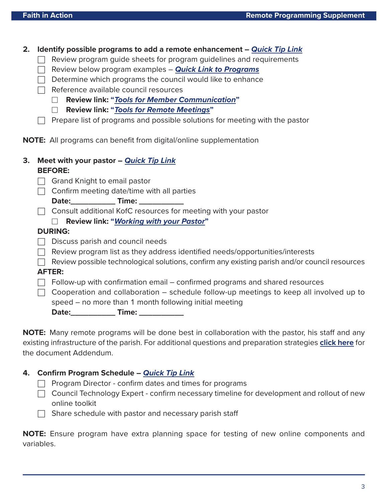**2. Identify possible programs to add a remote enhancement – [Quick Tip Link](#page-14-0)**

- $\Box$  Review program guide sheets for program guidelines and requirements
- □ Review below program examples **[Quick Link to Programs](#page-6-0)**
- $\Box$  Determine which programs the council would like to enhance
- $\Box$  Reference available council resources
	- □ **Review link: "[Tools for Member Communication](https://www.kofc.org/en/resources/news-room/knightline/special-edition/tools-member-communication.pdf)"**
	- □ **Review link: "[Tools for Remote Meetings](https://www.kofc.org/en/resources/news-room/knightline/special-edition/tools-best-practice-remote-meetings.pdf)"**
- $\Box$  Prepare list of programs and possible solutions for meeting with the pastor

**NOTE:** All programs can benefit from digital/online supplementation

| 3. Meet with your pastor - Quick Tip Link |  |
|-------------------------------------------|--|
| <b>BEFORE:</b>                            |  |

**Date:\_\_\_\_\_\_\_\_\_\_ Time: \_\_\_\_\_\_\_\_\_\_**

**NOTE:** Many remote programs will be done best in collaboration with the pastor, his staff and any existing infrastructure of the parish. For additional questions and preparation strategies **[click here](#page-14-0)** for the document Addendum.

#### **4. Confirm Program Schedule – [Quick Tip Link](#page-15-0)**

 $\Box$  Program Director - confirm dates and times for programs

- $\Box$  Council Technology Expert confirm necessary timeline for development and rollout of new online toolkit
- $\Box$  Share schedule with pastor and necessary parish staff

**NOTE:** Ensure program have extra planning space for testing of new online components and variables.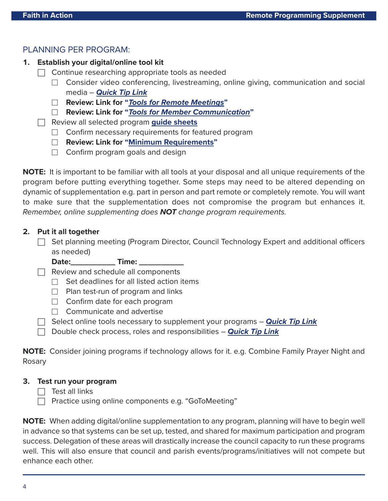### <span id="page-3-0"></span>PLANNING PER PROGRAM:

- **1. Establish your digital/online tool kit**
	- $\Box$  Continue researching appropriate tools as needed
		- □ Consider video conferencing, livestreaming, online giving, communication and social media – **[Quick Tip Link](#page-15-0)**
		- □ **Review: Link for "[Tools for Remote Meetings](https://www.kofc.org/en/resources/news-room/knightline/special-edition/tools-best-practice-remote-meetings.pdf)"**
		- □ **Review: Link for "[Tools for Member Communication](https://www.kofc.org/en/resources/news-room/knightline/special-edition/tools-member-communication.pdf)"**
	- □ Review all selected program **[guide sheets](http://www.kofc.org/fiaresources)**
		- $\Box$  Confirm necessary requirements for featured program
		- □ **Review: Link for ["Minimum Requirements"](https://www.kofc.org/en/resources/faith-in-action-programs/overview/10746-fia-council-requirements.pdf)**
		- $\Box$  Confirm program goals and design

**NOTE:** It is important to be familiar with all tools at your disposal and all unique requirements of the program before putting everything together. Some steps may need to be altered depending on dynamic of supplementation e.g. part in person and part remote or completely remote. You will want to make sure that the supplementation does not compromise the program but enhances it. Remember, online supplementing does **NOT** change program requirements.

#### **2. Put it all together**

 $\Box$  Set planning meeting (Program Director, Council Technology Expert and additional officers as needed)

Date: \_\_\_\_\_\_\_\_\_\_\_\_\_ Time: \_\_\_\_\_\_

 $\Box$  Review and schedule all components

- $\Box$  Set deadlines for all listed action items
- $\Box$  Plan test-run of program and links
- $\Box$  Confirm date for each program
- $\Box$  Communicate and advertise
- □ Select online tools necessary to supplement your programs **[Quick Tip Link](#page-15-0)**
- □ Double check process, roles and responsibilities **[Quick Tip Link](#page-15-0)**

**NOTE:** Consider joining programs if technology allows for it. e.g. Combine Family Prayer Night and Rosary

#### **3. Test run your program**

- $\Box$  Test all links
- $\Box$  Practice using online components e.g. "GoToMeeting"

**NOTE:** When adding digital/online supplementation to any program, planning will have to begin well in advance so that systems can be set up, tested, and shared for maximum participation and program success. Delegation of these areas will drastically increase the council capacity to run these programs well. This will also ensure that council and parish events/programs/initiatives will not compete but enhance each other.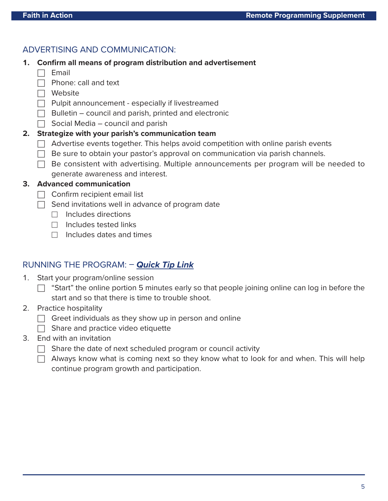### <span id="page-4-0"></span>ADVERTISING AND COMMUNICATION:

- **1. Confirm all means of program distribution and advertisement**
	- $\Box$  Email
	- $\Box$  Phone: call and text
	- □ Website
	- $\Box$  Pulpit announcement especially if livestreamed
	- $\Box$  Bulletin council and parish, printed and electronic
	- $\Box$  Social Media council and parish

### **2. Strategize with your parish's communication team**

- $\Box$  Advertise events together. This helps avoid competition with online parish events
- $\Box$  Be sure to obtain your pastor's approval on communication via parish channels.
- $\Box$  Be consistent with advertising. Multiple announcements per program will be needed to generate awareness and interest.

#### **3. Advanced communication**

- $\Box$  Confirm recipient email list
- $\Box$  Send invitations well in advance of program date
	- $\Box$  Includes directions
	- $\Box$  Includes tested links
	- □ Includes dates and times

### RUNNING THE PROGRAM: – **[Quick Tip Link](#page-16-0)**

- 1. Start your program/online session
	- $\Box$  "Start" the online portion 5 minutes early so that people joining online can log in before the start and so that there is time to trouble shoot.
- 2. Practice hospitality
	- $\Box$  Greet individuals as they show up in person and online
	- $\Box$  Share and practice video etiquette
- 3. End with an invitation
	- $\Box$  Share the date of next scheduled program or council activity
	- $\Box$  Always know what is coming next so they know what to look for and when. This will help continue program growth and participation.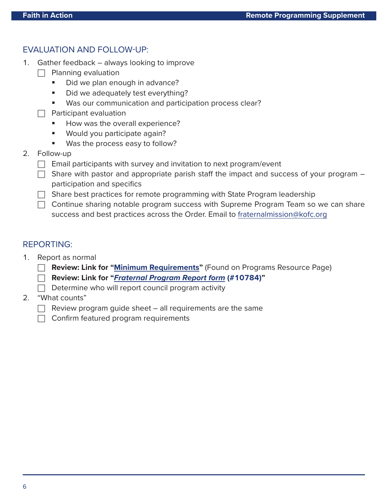### <span id="page-5-0"></span>EVALUATION AND FOLLOW-UP:

- 1. Gather feedback always looking to improve
	- $\Box$  Planning evaluation
		- Did we plan enough in advance?
		- Did we adequately test everything?
		- **Was our communication and participation process clear?**
	- $\Box$  Participant evaluation
		- How was the overall experience?
		- Would you participate again?
		- **Was the process easy to follow?**
- 2. Follow-up
	- $\Box$  Email participants with survey and invitation to next program/event
	- $\Box$  Share with pastor and appropriate parish staff the impact and success of your program participation and specifics
	- $\Box$  Share best practices for remote programming with State Program leadership
	- $\Box$  Continue sharing notable program success with Supreme Program Team so we can share success and best practices across the Order. Email to [fraternalmission@kofc.org](mailto:fraternalmission@kofc.org)

### REPORTING:

- 1. Report as normal
	- □ **Review: Link for ["Minimum Requirements"](https://www.kofc.org/en/resources/faith-in-action-programs/overview/10746-fia-council-requirements.pdf)** (Found on Programs Resource Page)
	- □ **Review: Link for "[Fraternal Program Report form](https://www.kofc.org/en/forms/spa/invite.html?lang=en&form=10784C.01) (#10784)"**
	- $\Box$  Determine who will report council program activity
- 2. "What counts"
	- $\Box$  Review program guide sheet  $-$  all requirements are the same
	- $\Box$  Confirm featured program requirements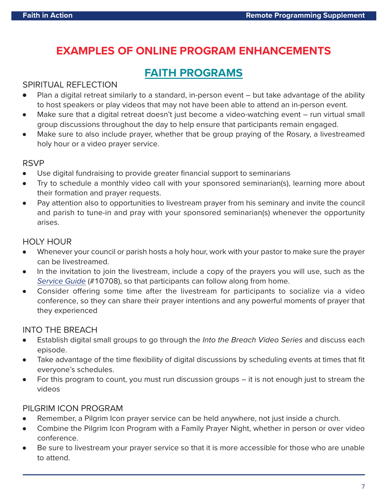### <span id="page-6-0"></span>**EXAMPLES OF ONLINE PROGRAM ENHANCEMENTS**

### **[FAITH PROGRAMS](https://www.kofc.org/en/what-we-do/faith-in-action-programs/faith/index.html)**

### SPIRITUAL REFLECTION

- Plan a digital retreat similarly to a standard, in-person event but take advantage of the ability to host speakers or play videos that may not have been able to attend an in-person event.
- Make sure that a digital retreat doesn't just become a video-watching event run virtual small group discussions throughout the day to help ensure that participants remain engaged.
- Make sure to also include prayer, whether that be group praying of the Rosary, a livestreamed holy hour or a video prayer service.

### RSVP

- Use digital fundraising to provide greater financial support to seminarians
- Try to schedule a monthly video call with your sponsored seminarian(s), learning more about their formation and prayer requests.
- Pay attention also to opportunities to livestream prayer from his seminary and invite the council and parish to tune-in and pray with your sponsored seminarian(s) whenever the opportunity arises.

### HOLY HOUR

- Whenever your council or parish hosts a holy hour, work with your pastor to make sure the prayer can be livestreamed.
- In the invitation to join the livestream, include a copy of the prayers you will use, such as the [Service Guide](https://www.kofc.org/en/resources/faith-in-action-programs/faith/holy-hour/10708-holy-hour-service-guide.pdf) (#10708), so that participants can follow along from home.
- Consider offering some time after the livestream for participants to socialize via a video conference, so they can share their prayer intentions and any powerful moments of prayer that they experienced

### INTO THE BREACH

- **•** Establish digital small groups to go through the *Into the Breach Video Series* and discuss each episode.
- Take advantage of the time flexibility of digital discussions by scheduling events at times that fit everyone's schedules.
- For this program to count, you must run discussion groups  $-$  it is not enough just to stream the videos

### PILGRIM ICON PROGRAM

- Remember, a Pilgrim Icon prayer service can be held anywhere, not just inside a church.
- Combine the Pilgrim Icon Program with a Family Prayer Night, whether in person or over video conference.
- Be sure to livestream your prayer service so that it is more accessible for those who are unable to attend.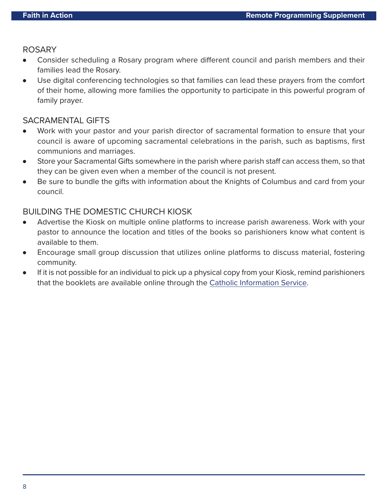### ROSARY

- Consider scheduling a Rosary program where different council and parish members and their families lead the Rosary.
- Use digital conferencing technologies so that families can lead these prayers from the comfort of their home, allowing more families the opportunity to participate in this powerful program of family prayer.

### SACRAMENTAL GIFTS

- Work with your pastor and your parish director of sacramental formation to ensure that your council is aware of upcoming sacramental celebrations in the parish, such as baptisms, first communions and marriages.
- Store your Sacramental Gifts somewhere in the parish where parish staff can access them, so that they can be given even when a member of the council is not present.
- Be sure to bundle the gifts with information about the Knights of Columbus and card from your council.

### BUILDING THE DOMESTIC CHURCH KIOSK

- Advertise the Kiosk on multiple online platforms to increase parish awareness. Work with your pastor to announce the location and titles of the books so parishioners know what content is available to them.
- Encourage small group discussion that utilizes online platforms to discuss material, fostering community.
- If it is not possible for an individual to pick up a physical copy from your Kiosk, remind parishioners that the booklets are available online through the [Catholic Information Service.](https://www.kofc.org/en/who-we-are/our-faith/cis/booklets.html?section=domestic-church-series)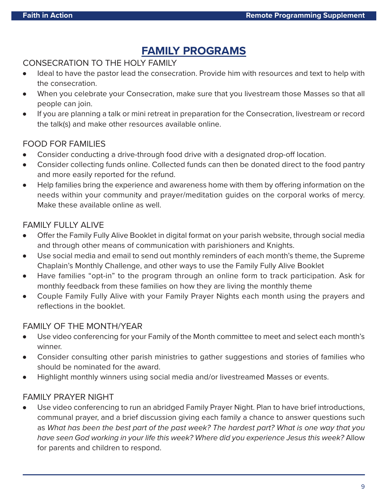### **[FAMILY PROGRAMS](https://www.kofc.org/en/what-we-do/faith-in-action-programs/family/index.html)**

### <span id="page-8-0"></span>CONSECRATION TO THE HOLY FAMILY

- Ideal to have the pastor lead the consecration. Provide him with resources and text to help with the consecration.
- When you celebrate your Consecration, make sure that you livestream those Masses so that all people can join.
- If you are planning a talk or mini retreat in preparation for the Consecration, livestream or record the talk(s) and make other resources available online.

### FOOD FOR FAMILIES

- Consider conducting a drive-through food drive with a designated drop-off location.
- Consider collecting funds online. Collected funds can then be donated direct to the food pantry and more easily reported for the refund.
- Help families bring the experience and awareness home with them by offering information on the needs within your community and prayer/meditation guides on the corporal works of mercy. Make these available online as well.

### FAMILY FULLY ALIVE

- Offer the Family Fully Alive Booklet in digital format on your parish website, through social media and through other means of communication with parishioners and Knights.
- Use social media and email to send out monthly reminders of each month's theme, the Supreme Chaplain's Monthly Challenge, and other ways to use the Family Fully Alive Booklet
- Have families "opt-in" to the program through an online form to track participation. Ask for monthly feedback from these families on how they are living the monthly theme
- Couple Family Fully Alive with your Family Prayer Nights each month using the prayers and reflections in the booklet.

### FAMILY OF THE MONTH/YEAR

- Use video conferencing for your Family of the Month committee to meet and select each month's winner.
- Consider consulting other parish ministries to gather suggestions and stories of families who should be nominated for the award.
- Highlight monthly winners using social media and/or livestreamed Masses or events.

### FAMILY PRAYER NIGHT

Use video conferencing to run an abridged Family Prayer Night. Plan to have brief introductions, communal prayer, and a brief discussion giving each family a chance to answer questions such as What has been the best part of the past week? The hardest part? What is one way that you have seen God working in your life this week? Where did you experience Jesus this week? Allow for parents and children to respond.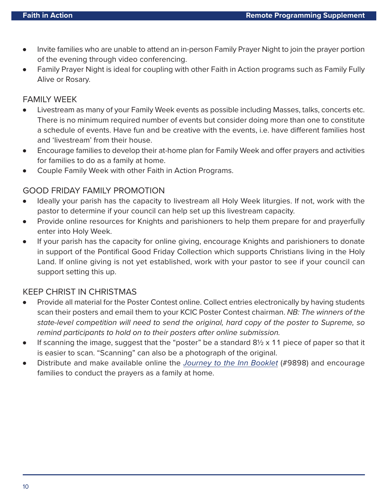- Invite families who are unable to attend an in-person Family Prayer Night to join the prayer portion of the evening through video conferencing.
- Family Prayer Night is ideal for coupling with other Faith in Action programs such as Family Fully Alive or Rosary.

### FAMILY WEEK

- Livestream as many of your Family Week events as possible including Masses, talks, concerts etc. There is no minimum required number of events but consider doing more than one to constitute a schedule of events. Have fun and be creative with the events, i.e. have different families host and 'livestream' from their house.
- Encourage families to develop their at-home plan for Family Week and offer prayers and activities for families to do as a family at home.
- Couple Family Week with other Faith in Action Programs.

### GOOD FRIDAY FAMILY PROMOTION

- Ideally your parish has the capacity to livestream all Holy Week liturgies. If not, work with the pastor to determine if your council can help set up this livestream capacity.
- Provide online resources for Knights and parishioners to help them prepare for and prayerfully enter into Holy Week.
- If your parish has the capacity for online giving, encourage Knights and parishioners to donate in support of the Pontifical Good Friday Collection which supports Christians living in the Holy Land. If online giving is not yet established, work with your pastor to see if your council can support setting this up.

### KEEP CHRIST IN CHRISTMAS

- Provide all material for the Poster Contest online. Collect entries electronically by having students scan their posters and email them to your KCIC Poster Contest chairman. NB: The winners of the state-level competition will need to send the original, hard copy of the poster to Supreme, so remind participants to hold on to their posters after online submission.
- If scanning the image, suggest that the "poster" be a standard  $8\frac{1}{2} \times 11$  piece of paper so that it is easier to scan. "Scanning" can also be a photograph of the original.
- Distribute and make available online the [Journey to the Inn Booklet](https://www.kofc.org/un/en/resources/communications/posada.pdf) (#9898) and encourage families to conduct the prayers as a family at home.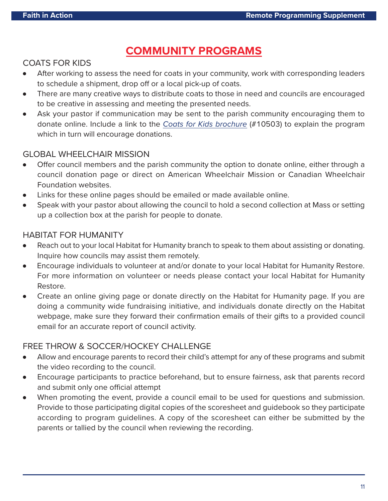### **[COMMUNITY PROGRAMS](https://www.kofc.org/en/what-we-do/faith-in-action-programs/community/index.html)**

### <span id="page-10-0"></span>COATS FOR KIDS

- After working to assess the need for coats in your community, work with corresponding leaders to schedule a shipment, drop off or a local pick-up of coats.
- There are many creative ways to distribute coats to those in need and councils are encouraged to be creative in assessing and meeting the presented needs.
- Ask your pastor if communication may be sent to the parish community encouraging them to donate online. Include a link to the [Coats for Kids brochure](https://www.kofc.org/en/resources/faith-in-action-programs/community/coats-for-kids/10503-coats-for-kids-trifold.pdf) (#10503) to explain the program which in turn will encourage donations.

### GLOBAL WHEELCHAIR MISSION

- Offer council members and the parish community the option to donate online, either through a council donation page or direct on American Wheelchair Mission or Canadian Wheelchair Foundation websites.
- Links for these online pages should be emailed or made available online.
- Speak with your pastor about allowing the council to hold a second collection at Mass or setting up a collection box at the parish for people to donate.

### HABITAT FOR HUMANITY

- Reach out to your local Habitat for Humanity branch to speak to them about assisting or donating. Inquire how councils may assist them remotely.
- Encourage individuals to volunteer at and/or donate to your local Habitat for Humanity Restore. For more information on volunteer or needs please contact your local Habitat for Humanity Restore.
- Create an online giving page or donate directly on the Habitat for Humanity page. If you are doing a community wide fundraising initiative, and individuals donate directly on the Habitat webpage, make sure they forward their confirmation emails of their gifts to a provided council email for an accurate report of council activity.

### FREE THROW & SOCCER/HOCKEY CHALLENGE

- Allow and encourage parents to record their child's attempt for any of these programs and submit the video recording to the council.
- Encourage participants to practice beforehand, but to ensure fairness, ask that parents record and submit only one official attempt
- When promoting the event, provide a council email to be used for questions and submission. Provide to those participating digital copies of the scoresheet and guidebook so they participate according to program guidelines. A copy of the scoresheet can either be submitted by the parents or tallied by the council when reviewing the recording.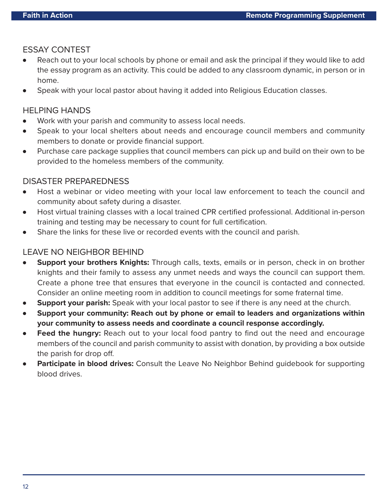### ESSAY CONTEST

- Reach out to your local schools by phone or email and ask the principal if they would like to add the essay program as an activity. This could be added to any classroom dynamic, in person or in home.
- Speak with your local pastor about having it added into Religious Education classes.

### HELPING HANDS

- Work with your parish and community to assess local needs.
- Speak to your local shelters about needs and encourage council members and community members to donate or provide financial support.
- Purchase care package supplies that council members can pick up and build on their own to be provided to the homeless members of the community.

### DISASTER PREPAREDNESS

- Host a webinar or video meeting with your local law enforcement to teach the council and community about safety during a disaster.
- Host virtual training classes with a local trained CPR certified professional. Additional in-person training and testing may be necessary to count for full certification.
- Share the links for these live or recorded events with the council and parish.

### LEAVE NO NEIGHBOR BEHIND

- **Support your brothers Knights:** Through calls, texts, emails or in person, check in on brother knights and their family to assess any unmet needs and ways the council can support them. Create a phone tree that ensures that everyone in the council is contacted and connected. Consider an online meeting room in addition to council meetings for some fraternal time.
- **Support your parish:** Speak with your local pastor to see if there is any need at the church.
- Support your community: Reach out by phone or email to leaders and organizations within **your community to assess needs and coordinate a council response accordingly.**
- **Feed the hungry:** Reach out to your local food pantry to find out the need and encourage members of the council and parish community to assist with donation, by providing a box outside the parish for drop off.
- **Participate in blood drives:** Consult the Leave No Neighbor Behind guidebook for supporting blood drives.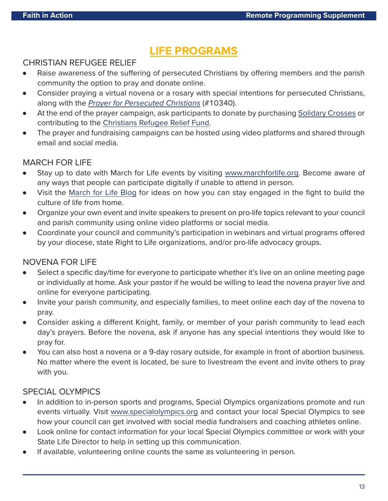### **[LIFE PROGRAMS](ttps://www.kofc.org/en/what-we-do/faith-in-action-programs/life/index.html)**

### <span id="page-12-0"></span>CHRISTIAN REFUGEE RELIEF

- Raise awareness of the suffering of persecuted Christians by offering members and the parish community the option to pray and donate online.
- Consider praying a virtual novena or a rosary with special intentions for persecuted Christians, along with the [Prayer for Persecuted Christians](https://www.kofc.org/en/resources/faith-in-action-programs/life/christian-refugee-relief/10340-refugee-prayer-card.pdf) (#10340).
- At the end of the prayer campaign, ask participants to donate by purchasing [Solidary Crosses](https://www.knightsgear.com/solidarity-cross) or contributing to the [Christians Refugee Relief Fund.](https://www.christiansatrisk.org/en/index.html)
- The prayer and fundraising campaigns can be hosted using video platforms and shared through email and social media.

### MARCH FOR LIFE

- Stay up to date with March for Life events by visiting [www.marchforlife.org.](www.marchforlife.org) Become aware of any ways that people can participate digitally if unable to attend in person.
- Visit the [March for Life Blog](https://marchforlife.org/building-a-culture-of-life-during-covid-19/) for ideas on how you can stay engaged in the fight to build the culture of life from home.
- Organize your own event and invite speakers to present on pro-life topics relevant to your council and parish community using online video platforms or social media.
- Coordinate your council and community's participation in webinars and virtual programs offered by your diocese, state Right to Life organizations, and/or pro-life advocacy groups.

### NOVENA FOR LIFE

- Select a specific day/time for everyone to participate whether it's live on an online meeting page or individually at home. Ask your pastor if he would be willing to lead the novena prayer live and online for everyone participating.
- Invite your parish community, and especially families, to meet online each day of the novena to pray.
- Consider asking a different Knight, family, or member of your parish community to lead each day's prayers. Before the novena, ask if anyone has any special intentions they would like to pray for.
- You can also host a novena or a 9-day rosary outside, for example in front of abortion business. No matter where the event is located, be sure to livestream the event and invite others to pray with you.

### SPECIAL OLYMPICS

- In addition to in-person sports and programs, Special Olympics organizations promote and run events virtually. Visit [www.specialolympics.org](http://www.specialolympics.org/) and contact your local Special Olympics to see how your council can get involved with social media fundraisers and coaching athletes online.
- Look online for contact information for your local Special Olympics committee or work with your State Life Director to help in setting up this communication.
- If available, volunteering online counts the same as volunteering in person.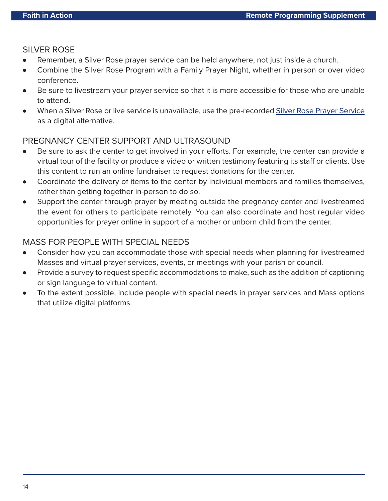### <span id="page-13-0"></span>SILVER ROSE

- Remember, a Silver Rose prayer service can be held anywhere, not just inside a church.
- Combine the Silver Rose Program with a Family Prayer Night, whether in person or over video conference.
- Be sure to livestream your prayer service so that it is more accessible for those who are unable to attend.
- When a Silver Rose or live service is unavailable, use the pre-recorded [Silver Rose Prayer Service](https://www.youtube.com/watch?v=FiKTwKw-3Y4) as a digital alternative.

### PREGNANCY CENTER SUPPORT AND ULTRASOUND

- Be sure to ask the center to get involved in your efforts. For example, the center can provide a virtual tour of the facility or produce a video or written testimony featuring its staff or clients. Use this content to run an online fundraiser to request donations for the center.
- Coordinate the delivery of items to the center by individual members and families themselves, rather than getting together in-person to do so.
- Support the center through prayer by meeting outside the pregnancy center and livestreamed the event for others to participate remotely. You can also coordinate and host regular video opportunities for prayer online in support of a mother or unborn child from the center.

### MASS FOR PEOPLE WITH SPECIAL NEEDS

- Consider how you can accommodate those with special needs when planning for livestreamed Masses and virtual prayer services, events, or meetings with your parish or council.
- Provide a survey to request specific accommodations to make, such as the addition of captioning or sign language to virtual content.
- To the extent possible, include people with special needs in prayer services and Mass options that utilize digital platforms.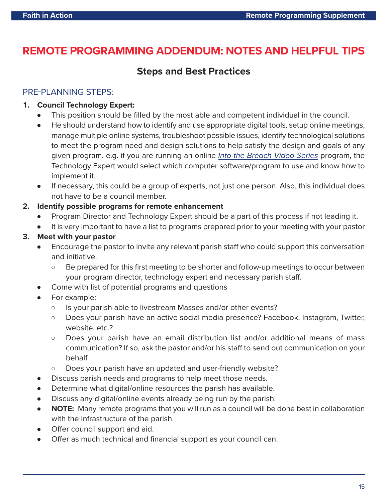### <span id="page-14-0"></span>**REMOTE PROGRAMMING ADDENDUM: NOTES AND HELPFUL TIPS**

### **Steps and Best Practices**

### PRE-PLANNING STEPS:

### **1. Council Technology Expert:**

- This position should be filled by the most able and competent individual in the council.
- He should understand how to identify and use appropriate digital tools, setup online meetings, manage multiple online systems, troubleshoot possible issues, identify technological solutions to meet the program need and design solutions to help satisfy the design and goals of any given program. e.g. if you are running an online [Into the Breach Video Series](https://www.kofc.org/en/campaigns/into-the-breach.html) program, the Technology Expert would select which computer software/program to use and know how to implement it.
- If necessary, this could be a group of experts, not just one person. Also, this individual does not have to be a council member.

### **2. Identify possible programs for remote enhancement**

- Program Director and Technology Expert should be a part of this process if not leading it.
- It is very important to have a list to programs prepared prior to your meeting with your pastor

### **3. Meet with your pastor**

- Encourage the pastor to invite any relevant parish staff who could support this conversation and initiative.
	- Be prepared for this first meeting to be shorter and follow-up meetings to occur between your program director, technology expert and necessary parish staff.
- Come with list of potential programs and questions
- For example:
	- $\circ$  Is your parish able to livestream Masses and/or other events?
	- Does your parish have an active social media presence? Facebook, Instagram, Twitter, website, etc.?
	- Does your parish have an email distribution list and/or additional means of mass communication? If so, ask the pastor and/or his staff to send out communication on your behalf.
	- Does your parish have an updated and user-friendly website?
- Discuss parish needs and programs to help meet those needs.
- Determine what digital/online resources the parish has available.
- Discuss any digital/online events already being run by the parish.
- **NOTE:** Many remote programs that you will run as a council will be done best in collaboration with the infrastructure of the parish.
- Offer council support and aid.
- Offer as much technical and financial support as your council can.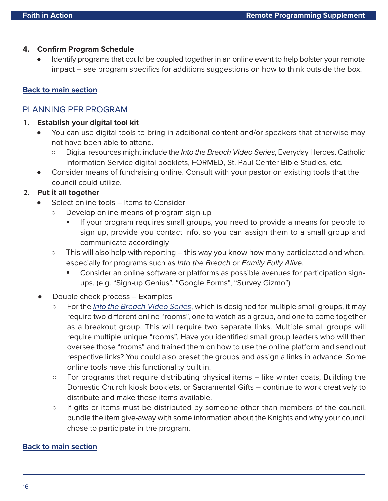#### <span id="page-15-0"></span>**4. Confirm Program Schedule**

Identify programs that could be coupled together in an online event to help bolster your remote impact – see program specifics for additions suggestions on how to think outside the box.

### **[Back to main section](#page-1-0)**

### PLANNING PER PROGRAM

### **1. Establish your digital tool kit**

- You can use digital tools to bring in additional content and/or speakers that otherwise may not have been able to attend.
	- o Digital resources might include the Into the Breach Video Series, Everyday Heroes, Catholic Information Service digital booklets, FORMED, St. Paul Center Bible Studies, etc.
- Consider means of fundraising online. Consult with your pastor on existing tools that the council could utilize.

### **2. Put it all together**

- Select online tools Items to Consider
	- Develop online means of program sign-up
		- If your program requires small groups, you need to provide a means for people to sign up, provide you contact info, so you can assign them to a small group and communicate accordingly
	- $\circ$  This will also help with reporting this way you know how many participated and when, especially for programs such as Into the Breach or Family Fully Alive.
		- Consider an online software or platforms as possible avenues for participation signups. (e.g. "Sign-up Genius", "Google Forms", "Survey Gizmo")
- Double check process Examples
	- $\circ$  For the *[Into the Breach Video Series](www.kofc.org/intothebreach)*, which is designed for multiple small groups, it may require two different online "rooms", one to watch as a group, and one to come together as a breakout group. This will require two separate links. Multiple small groups will require multiple unique "rooms". Have you identified small group leaders who will then oversee those "rooms" and trained them on how to use the online platform and send out respective links? You could also preset the groups and assign a links in advance. Some online tools have this functionality built in.
	- $\circ$  For programs that require distributing physical items  $-$  like winter coats, Building the Domestic Church kiosk booklets, or Sacramental Gifts – continue to work creatively to distribute and make these items available.
	- o If gifts or items must be distributed by someone other than members of the council, bundle the item give-away with some information about the Knights and why your council chose to participate in the program.

#### **[Back to main section](#page-3-0)**